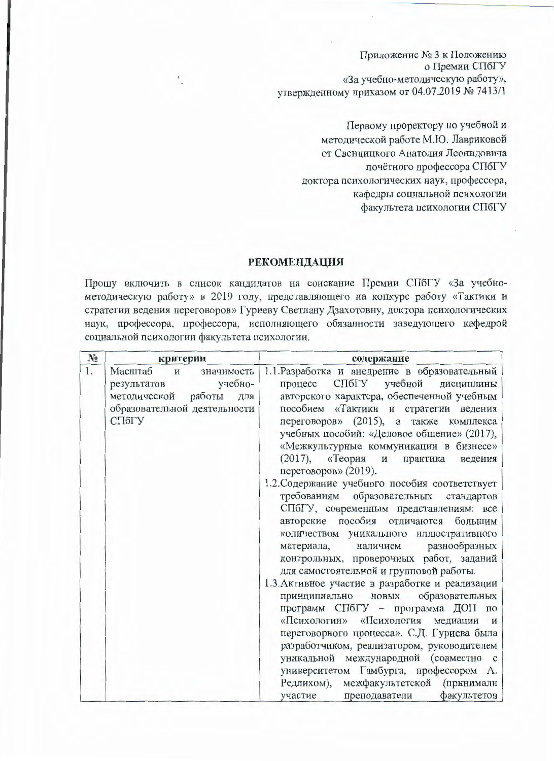Приложение № 3 к Положению о Премии СПбГУ «За учебно-методическую работу», утвержденному приказом от 04.07.2019 № 7413/1

> Первому проректору по учебной и методической работе М.Ю. Лавриковой от Свенцицкого Анатолия Леонидовича почётного профессора СПбГУ доктора психологических наук, профессора, кафедры социальной психологии факультета психологии СПбГУ

## **РЕКОМЕНДАЦИЯ**

Прошу включить в список кандидатов на соискание Премии СПбГУ «За учебнометодическую работу» в 2019 году, представляющего на конкурс работу «Тактики и стратегии ведения переговоров» Гуриеву Светлану Дзахотовну, доктора психологических наук, профессора, профессора, исполняющего обязанности заведующего кафедрой социальной психологии факультета психологии.

| $N_2$ | критерии                                                                                                                               | содержание                                                                                                                                                                                                                                                                                                                                                                                                                                                                                                                                                                                                                                                                                                                                                                                                                                                                                                                                                                                                                                                                                                                                                                                          |
|-------|----------------------------------------------------------------------------------------------------------------------------------------|-----------------------------------------------------------------------------------------------------------------------------------------------------------------------------------------------------------------------------------------------------------------------------------------------------------------------------------------------------------------------------------------------------------------------------------------------------------------------------------------------------------------------------------------------------------------------------------------------------------------------------------------------------------------------------------------------------------------------------------------------------------------------------------------------------------------------------------------------------------------------------------------------------------------------------------------------------------------------------------------------------------------------------------------------------------------------------------------------------------------------------------------------------------------------------------------------------|
| 1.    | Масштаб<br>значимость<br>$\mathbf{M}$<br>учебно-<br>результатов<br>методической работы<br>для<br>образовательной деятельности<br>СПбГУ | 1.1. Разработка и внедрение в образовательный<br>СПбГУ учебной<br>процесс<br>дисциплины<br>авторского характера, обеспеченной учебным<br>пособием «Тактики и стратегии ведения<br>переговоров» (2015), а также комплекса<br>учебных пособий: «Деловое общение» (2017),<br>«Межкультурные коммуникации в бизнесе»<br>(2017), «Теория<br>практика<br>ведения<br>$\mathbf{H}$<br>переговоров» (2019).<br>1.2. Содержание учебного пособия соответствует<br>требованиям образовательных стандартов<br>СПбГУ, современным представлениям: все<br>авторские пособия отличаются большим<br>количеством уникального иллюстративного<br>разнообразных<br>наличием<br>материала,<br>контрольных, проверочных работ, заданий<br>для самостоятельной и групповой работы.<br>1.3. Активное участие в разработке и реализации<br>принципиально новых образовательных<br>программ СПбГУ - программа ДОП по<br>«Психологии» «Психология медиации и<br>переговорного процесса». С.Д. Гуриева была<br>разработчиком, реализатором, руководителем<br>уникальной международной (совместно с<br>университетом Гамбурга, профессором А.<br>Редлихом), межфакультетской (принимали<br>участие преподаватели<br>факультетов |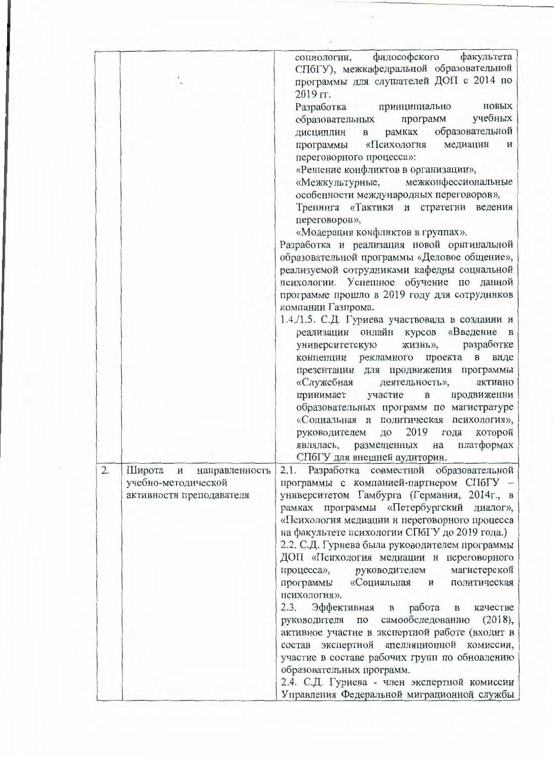|    |                                                                                  | философского<br>факультета<br>социологии,<br>СПбГУ), межкафедральной образовательной                                                                                                                                                                                                                                                                                                                                                                                                                                                                                                                                                                                                                                                                                                                                                                                                                                         |
|----|----------------------------------------------------------------------------------|------------------------------------------------------------------------------------------------------------------------------------------------------------------------------------------------------------------------------------------------------------------------------------------------------------------------------------------------------------------------------------------------------------------------------------------------------------------------------------------------------------------------------------------------------------------------------------------------------------------------------------------------------------------------------------------------------------------------------------------------------------------------------------------------------------------------------------------------------------------------------------------------------------------------------|
|    |                                                                                  | программы для слушателей ДОП с 2014 по<br>2019 гг.<br>Разработка принципиально<br>новых<br>образовательных программ учебных<br>рамках образовательной<br>дисциплин в<br>программы «Психология медиации<br>и<br>переговорного процесса»:<br>«Решение конфликтов в организации»,<br>«Межкультурные, межконфессиональные<br>особенности международных переговоров»,<br>Тренинга «Тактики и стратегии ведения<br>переговоров»,<br>«Модерация конфликтов в группах».<br>Разработка и реализация новой оригинальной<br>образовательной программы «Деловое общение»,<br>реализуемой сотрудниками кафедры социальной<br>психологии. Успешное обучение по данной                                                                                                                                                                                                                                                                      |
|    |                                                                                  | программе прошло в 2019 году для сотрудников<br>компании Газпрома.<br>1.4./1.5. С.Д. Гуриева участвовала в создании и<br>реализации онлайн курсов «Введение в<br>разработке<br>жизнь»,<br>университетскую<br>концепции рекламного проекта в виде<br>презентации для продвижения программы<br>«Служебная<br>деятельность»,<br>активно<br>принимает участие в<br>продвижении<br>образовательных программ по магистратуре<br>«Социальная и политическая психология»,<br>руководителем до 2019<br>года<br>которой<br>на платформах<br>являлась, размещенных<br>СПбГУ для внешней аудитории.                                                                                                                                                                                                                                                                                                                                      |
| 2. | Широта<br>направленность<br>M<br>учебно-методической<br>активности преподавателя | 2.1. Разработка совместной образовательной<br>программы с компанией-партнером СПбГУ -<br>университетом Гамбурга (Германия, 2014г., в<br>рамках программы «Петербургский диалог»,<br>«Психология медиации и переговорного процесса<br>на факультете психологии СПбГУ до 2019 года.)<br>2.2. С.Д. Гуриева была руководителем программы<br>ДОП «Психология медиации и переговорного<br>магистерской<br>процесса», руководителем<br>«Социальная<br>программы<br>политическая<br>$\mathbf{M}$<br>психология».<br>2.3. Эффективная<br>работа<br>$\, {\bf B}$<br>качестве<br>$\, {\bf B}$<br>самообследованию<br>(2018),<br>руководителя<br>$\Pi{\rm O}$<br>активное участие в экспертной работе (входит в<br>состав экспертной апелляционной комиссии,<br>участие в составе рабочих групп по обновлению<br>образовательных программ.<br>2.4. С.Д. Гуриева - член экспертной комиссии<br>Управления Федеральной миграционной службы |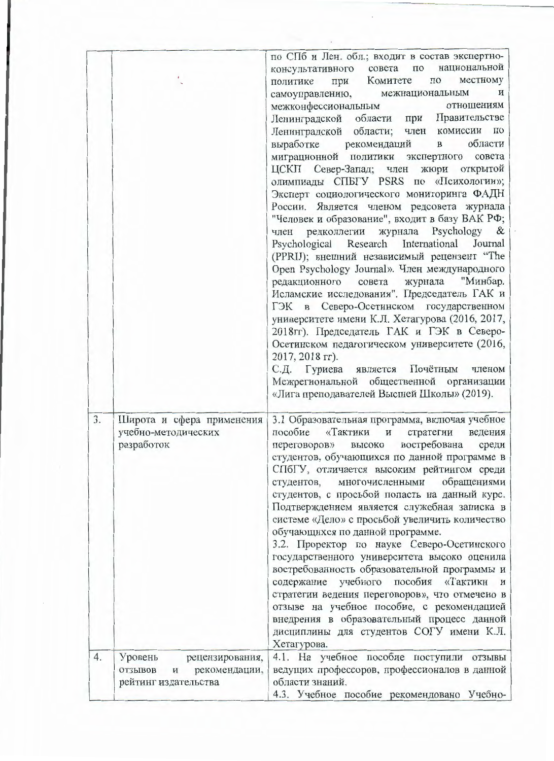| 4. |                                                                | содержание учебного пособия «Тактики<br>$\mathbf{M}$<br>стратегии ведения переговоров», что отмечено в<br>отзыве на учебное пособие, с рекомендацией<br>внедрения в образовательный процесс данной<br>дисциплины для студентов СОГУ имени К.Л.                                                                                                                                                                                                                                                                                                                                                                                                                                                                                                                                                                                                                                                                                                                                                                                                                                                                                                                                                                                                                                                                     |
|----|----------------------------------------------------------------|--------------------------------------------------------------------------------------------------------------------------------------------------------------------------------------------------------------------------------------------------------------------------------------------------------------------------------------------------------------------------------------------------------------------------------------------------------------------------------------------------------------------------------------------------------------------------------------------------------------------------------------------------------------------------------------------------------------------------------------------------------------------------------------------------------------------------------------------------------------------------------------------------------------------------------------------------------------------------------------------------------------------------------------------------------------------------------------------------------------------------------------------------------------------------------------------------------------------------------------------------------------------------------------------------------------------|
| 3. | Широта и сфера применения<br>учебно-методических<br>разработок | 3.1 Образовательная программа, включая учебное<br>пособие «Тактики и стратегии<br>ведения<br>переговоров» высоко востребована<br>среди<br>студентов, обучающихся по данной программе в<br>СПбГУ, отличается высоким рейтингом среди<br>обращениями<br>многочисленными<br>студентов,<br>студентов, с просьбой попасть на данный курс.<br>Подтверждением является служебная записка в<br>системе «Дело» с просьбой увеличить количество<br>обучающихся по данной программе.<br>3.2. Проректор по науке Северо-Осетинского<br>государственного университета высоко оценила<br>востребованность образовательной программы и                                                                                                                                                                                                                                                                                                                                                                                                                                                                                                                                                                                                                                                                                            |
|    |                                                                | по СПб и Лен. обл.; входит в состав экспертно-<br>национальной<br>консультативного совета по<br>местному<br>политике при Комитете<br>$\Pi$ <sup>O</sup><br>самоуправлению, межнациональным<br>$\mathbf{H}$<br>межконфессиональным<br>отношениям<br>Ленинградской области при Правительстве<br>Ленинградской области; член комиссии по<br>$\mathbf{B}$<br>области<br>выработке рекомендаций<br>миграционной политики экспертного совета<br>ЦСКП Север-Запад; член жюри открытой<br>олимпиады CHEFY PSRS по «Психологии»;<br>Эксперт социологического мониторинга ФАДН<br>России. Является членом редсовета журнала<br>"Человек и образование", входит в базу ВАК РФ;<br>редколлегии журнала Psychology &<br>член<br>Psychological Research International<br>Journal<br>(PPRIJ); внешний независимый рецензент "The<br>Open Psychology Journal». Член международного<br>"Минбар.<br>редакционного совета журнала<br>Исламские исследования". Председатель ГАК и<br>ГЭК в Северо-Осетинском государственном<br>университете имени К.Л. Хетагурова (2016, 2017,<br>2018гг). Председатель ГАК и ГЭК в Северо-<br>Осетинском педагогическом университете (2016,<br>2017, 2018 гг).<br>С.Д. Гуриева является Почётным<br>членом<br>Межрегиональной общественной организации<br>«Лига преподавателей Высшей Школы» (2019). |